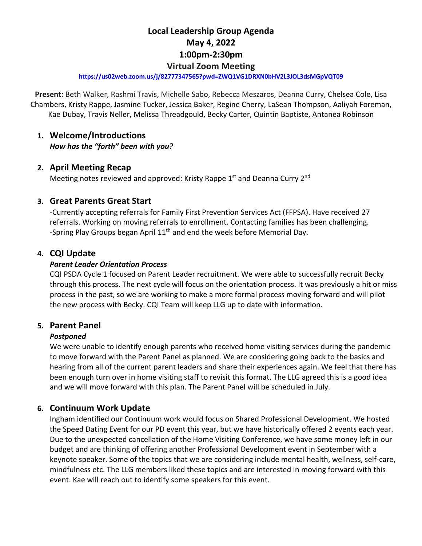# **Local Leadership Group Agenda May 4, 2022 1:00pm-2:30pm Virtual Zoom Meeting**

#### **https://us02web.zoom.us/j/82777347565?pwd=ZWQ1VG1DRXN0bHV2L3JOL3dsMGpVQT09**

**Present:** Beth Walker, Rashmi Travis, Michelle Sabo, Rebecca Meszaros, Deanna Curry, Chelsea Cole, Lisa Chambers, Kristy Rappe, Jasmine Tucker, Jessica Baker, Regine Cherry, LaSean Thompson, Aaliyah Foreman, Kae Dubay, Travis Neller, Melissa Threadgould, Becky Carter, Quintin Baptiste, Antanea Robinson

### **1. Welcome/Introductions**  *How has the "forth" been with you?*

### **2. April Meeting Recap**

Meeting notes reviewed and approved: Kristy Rappe 1<sup>st</sup> and Deanna Curry 2<sup>nd</sup>

### **3. Great Parents Great Start**

-Currently accepting referrals for Family First Prevention Services Act (FFPSA). Have received 27 referrals. Working on moving referrals to enrollment. Contacting families has been challenging. -Spring Play Groups began April  $11<sup>th</sup>$  and end the week before Memorial Day.

#### **4. CQI Update**

#### *Parent Leader Orientation Process*

CQI PSDA Cycle 1 focused on Parent Leader recruitment. We were able to successfully recruit Becky through this process. The next cycle will focus on the orientation process. It was previously a hit or miss process in the past, so we are working to make a more formal process moving forward and will pilot the new process with Becky. CQI Team will keep LLG up to date with information.

#### **5. Parent Panel**

#### *Postponed*

We were unable to identify enough parents who received home visiting services during the pandemic to move forward with the Parent Panel as planned. We are considering going back to the basics and hearing from all of the current parent leaders and share their experiences again. We feel that there has been enough turn over in home visiting staff to revisit this format. The LLG agreed this is a good idea and we will move forward with this plan. The Parent Panel will be scheduled in July.

### **6. Continuum Work Update**

Ingham identified our Continuum work would focus on Shared Professional Development. We hosted the Speed Dating Event for our PD event this year, but we have historically offered 2 events each year. Due to the unexpected cancellation of the Home Visiting Conference, we have some money left in our budget and are thinking of offering another Professional Development event in September with a keynote speaker. Some of the topics that we are considering include mental health, wellness, self-care, mindfulness etc. The LLG members liked these topics and are interested in moving forward with this event. Kae will reach out to identify some speakers for this event.